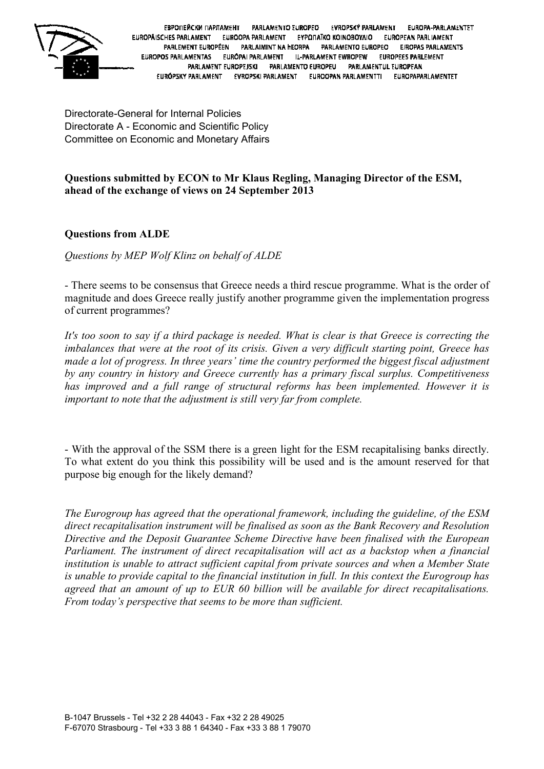

ЕВРОПЕЙСКИ ПАРЛАМЕНТ PARLAMENTO EUROPEO **EVROPSKÝ PARLAMENT** EUROPA-PARLAMENTET EUROPÄISCHES PARLAMENT EUROOPA PARLAMENT EYPOINÄKO KOINOBOYAIO EUROPEAN PARLIAMENT PARLEMENT EUROPÉEN PARLAIMINT NA HEORPA PARLAMENTO EUROPEO **EIROPAS PARLAMENTS** EUROPOS PARLAMENTAS EURÓPAI PARLAMENT IL-PARLAMENT EWROPEW EUROPEES PARLEMENT PARLAMENT EUROPEJSKI PARLAMENTO EUROPEU **PARLAMENTUL EUROPEAN** EURÓPSKY PARLAMENT EVROPSKI PARLAMENT EUROOPAN PARLAMENTTI EUROPAPARLAMENTET

Directorate-General for Internal Policies Directorate A - Economic and Scientific Policy Committee on Economic and Monetary Affairs

## **Questions submitted by ECON to Mr Klaus Regling, Managing Director of the ESM, ahead of the exchange of views on 24 September 2013**

## **Questions from ALDE**

*Questions by MEP Wolf Klinz on behalf of ALDE*

- There seems to be consensus that Greece needs a third rescue programme. What is the order of magnitude and does Greece really justify another programme given the implementation progress of current programmes?

*It's too soon to say if a third package is needed. What is clear is that Greece is correcting the imbalances that were at the root of its crisis. Given a very difficult starting point, Greece has made a lot of progress. In three years' time the country performed the biggest fiscal adjustment by any country in history and Greece currently has a primary fiscal surplus. Competitiveness has improved and a full range of structural reforms has been implemented. However it is important to note that the adjustment is still very far from complete.* 

- With the approval of the SSM there is a green light for the ESM recapitalising banks directly. To what extent do you think this possibility will be used and is the amount reserved for that purpose big enough for the likely demand?

*The Eurogroup has agreed that the operational framework, including the guideline, of the ESM direct recapitalisation instrument will be finalised as soon as the Bank Recovery and Resolution Directive and the Deposit Guarantee Scheme Directive have been finalised with the European Parliament. The instrument of direct recapitalisation will act as a backstop when a financial institution is unable to attract sufficient capital from private sources and when a Member State is unable to provide capital to the financial institution in full. In this context the Eurogroup has agreed that an amount of up to EUR 60 billion will be available for direct recapitalisations. From today's perspective that seems to be more than sufficient.*